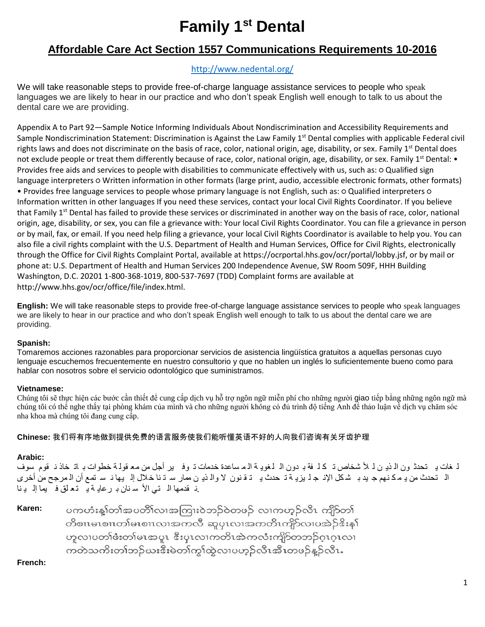# **Family 1st Dental**

# **Affordable Care Act Section 1557 Communications Requirements 10-2016**

# <http://www.nedental.org/>

We will take reasonable steps to provide free-of-charge language assistance services to people who speak languages we are likely to hear in our practice and who don't speak English well enough to talk to us about the dental care we are providing.

Appendix A to Part 92—Sample Notice Informing Individuals About Nondiscrimination and Accessibility Requirements and Sample Nondiscrimination Statement: Discrimination is Against the Law Family 1<sup>st</sup> Dental complies with applicable Federal civil rights laws and does not discriminate on the basis of race, color, national origin, age, disability, or sex. Family 1<sup>st</sup> Dental does not exclude people or treat them differently because of race, color, national origin, age, disability, or sex. Family 1<sup>st</sup> Dental: • Provides free aids and services to people with disabilities to communicate effectively with us, such as: o Qualified sign language interpreters ○ Written information in other formats (large print, audio, accessible electronic formats, other formats) • Provides free language services to people whose primary language is not English, such as: ○ Qualified interpreters ○ Information written in other languages If you need these services, contact your local Civil Rights Coordinator. If you believe that Family 1<sup>st</sup> Dental has failed to provide these services or discriminated in another way on the basis of race, color, national origin, age, disability, or sex, you can file a grievance with: Your local Civil Rights Coordinator. You can file a grievance in person or by mail, fax, or email. If you need help filing a grievance, your local Civil Rights Coordinator is available to help you. You can also file a civil rights complaint with the U.S. Department of Health and Human Services, Office for Civil Rights, electronically through the Office for Civil Rights Complaint Portal, available at https://ocrportal.hhs.gov/ocr/portal/lobby.jsf, or by mail or phone at: U.S. Department of Health and Human Services 200 Independence Avenue, SW Room 509F, HHH Building Washington, D.C. 20201 1-800-368-1019, 800-537-7697 (TDD) Complaint forms are available at http://www.hhs.gov/ocr/office/file/index.html.

**English:** We will take reasonable steps to provide free-of-charge language assistance services to people who speak languages we are likely to hear in our practice and who don't speak English well enough to talk to us about the dental care we are providing.

# **Spanish:**

Tomaremos acciones razonables para proporcionar servicios de asistencia lingüística gratuitos a aquellas personas cuyo lenguaje escuchemos frecuentemente en nuestro consultorio y que no hablen un inglés lo suficientemente bueno como para hablar con nosotros sobre el servicio odontológico que suministramos.

# **Vietnamese:**

Chúng tôi sẽ thực hiện các bước cần thiết để cung cấp dịch vụ hỗ trợ ngôn ngữ miễn phí cho những người giao tiếp bằng những ngôn ngữ mà chúng tôi có thể nghe thấy tại phòng khám của mình và cho những người không có đủ trình độ tiếng Anh để thảo luận về dịch vụ chăm sóc nha khoa mà chúng tôi đang cung cấp.

**Chinese:** 我们将有序地做到提供免费的语言服务使我们能听懂英语不好的人向我们咨询有关牙齿护理

# **Arabic:**

ل غات ی تحدث ون ال ذی ن ل لأ شخاص تـ ك ل فة بـ دون الـ لـغویـ ة الـ مـ ساعدة خدمات تـ وفـ یر أجل من مـعـ قولـة خطوات بـ اتـ خاذ نـ قوم سوف ال تحدث من ی م ك نھم ج ید ب ش كل اإلن ج ل یزی ة ت حدث ی ت ق نون ال وال ذی ن ممار س ت نا خالل إل یھا ن س تمع أن ال مرجح من أخرى .ن قدمھا ال تي األ س نان ب رعای ة ی تع لق ف یما إل ی نا

**Karen:** ပကဟံးန့္ပါတ္ပါအပတ္ပါလၢအကြူးဝဲဘဉ်ဝဲတဖဉ် လၢကဟူဉ်လီၤ ကျိဉ်တ္ပါ တိစၢၤမၤစၢၤတၢ်မၤစၢၤလၢအကလီ ဆူပှၤလၢအကတိၤကျိ>်လၢပအဲဉ် $\mathbf{\hat{s}}$ းန $\mathbf{\hat{i}}$ ဟူလၢပတၢ်ဖံးတ၊်မၤအပူၤ ဒီးပုၤလၢကတိၤအဲကလံးကျိ႒်တဘဉ်ဂူၤဂူၤလၢ ကတဲသကိႏတၢ်ဘဉ်ဃးဒီးမဲတၢ်ကွၢ်ထွဲလၢပဟ္နာ်လီၤအီၤတဖဉ်န္နာ်လီၤ.

**French:**